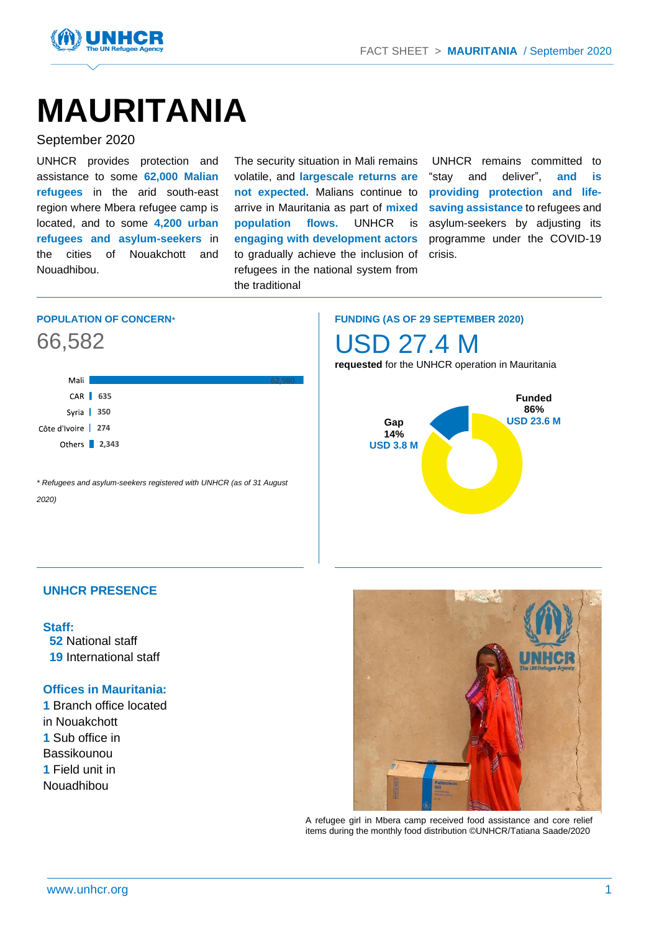

# **MAURITANIA**

#### September 2020

UNHCR provides protection and assistance to some **62,000 Malian refugees** in the arid south-east region where Mbera refugee camp is located, and to some **4,200 urban refugees and asylum-seekers** in the cities of Nouakchott and Nouadhibou.

The security situation in Mali remains volatile, and **largescale returns are not expected.** Malians continue to arrive in Mauritania as part of **mixed population flows.** UNHCR is **engaging with development actors** to gradually achieve the inclusion of refugees in the national system from the traditional

UNHCR remains committed to "stay and deliver", **and is providing protection and lifesaving assistance** to refugees and asylum-seekers by adjusting its programme under the COVID-19 crisis.

#### **POPULATION OF CONCERN***\**

### 66,582



*\* Refugees and asylum-seekers registered with UNHCR (as of 31 August 2020)*

**FUNDING (AS OF 29 SEPTEMBER 2020)**

USD 27.4 M

**requested** for the UNHCR operation in Mauritania



#### **UNHCR PRESENCE**

#### **Staff:**

**52** National staff **19** International staff

#### **Offices in Mauritania:**

**1** Branch office located in Nouakchott **1** Sub office in Bassikounou **1** Field unit in Nouadhibou



A refugee girl in Mbera camp received food assistance and core relief items during the monthly food distribution ©UNHCR/Tatiana Saade/2020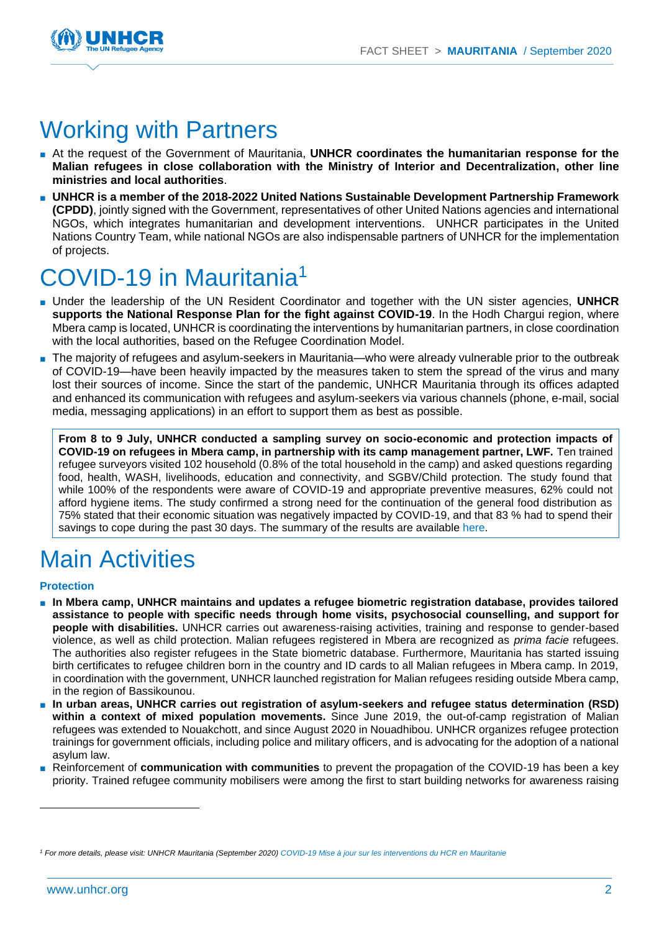

### Working with Partners

- At the request of the Government of Mauritania, UNHCR coordinates the humanitarian response for the **Malian refugees in close collaboration with the Ministry of Interior and Decentralization, other line ministries and local authorities**.
- **UNHCR is a member of the 2018-2022 United Nations Sustainable Development Partnership Framework (CPDD)**, jointly signed with the Government, representatives of other United Nations agencies and international NGOs, which integrates humanitarian and development interventions. UNHCR participates in the United Nations Country Team, while national NGOs are also indispensable partners of UNHCR for the implementation of projects.

## ${\sf COVID{\text{-}}19}$  in Mauritania $^1$

- Under the leadership of the UN Resident Coordinator and together with the UN sister agencies, **UNHCR supports the National Response Plan for the fight against COVID-19**. In the Hodh Chargui region, where Mbera camp is located, UNHCR is coordinating the interventions by humanitarian partners, in close coordination with the local authorities, based on the Refugee Coordination Model.
- The majority of refugees and asylum-seekers in Mauritania—who were already vulnerable prior to the outbreak of COVID-19—have been heavily impacted by the measures taken to stem the spread of the virus and many lost their sources of income. Since the start of the pandemic, UNHCR Mauritania through its offices adapted and enhanced its communication with refugees and asylum-seekers via various channels (phone, e-mail, social media, messaging applications) in an effort to support them as best as possible.

**From 8 to 9 July, UNHCR conducted a sampling survey on socio-economic and protection impacts of COVID-19 on refugees in Mbera camp, in partnership with its camp management partner, LWF.** Ten trained refugee surveyors visited 102 household (0.8% of the total household in the camp) and asked questions regarding food, health, WASH, livelihoods, education and connectivity, and SGBV/Child protection. The study found that while 100% of the respondents were aware of COVID-19 and appropriate preventive measures, 62% could not afford hygiene items. The study confirmed a strong need for the continuation of the general food distribution as 75% stated that their economic situation was negatively impacted by COVID-19, and that 83 % had to spend their savings to cope during the past 30 days. The summary of the results are available [here.](https://data2.unhcr.org/en/documents/details/77947)

## Main Activities

#### **Protection**

- **In Mbera camp, UNHCR maintains and updates a refugee biometric registration database, provides tailored assistance to people with specific needs through home visits, psychosocial counselling, and support for people with disabilities.** UNHCR carries out awareness-raising activities, training and response to gender-based violence, as well as child protection. Malian refugees registered in Mbera are recognized as *prima facie* refugees. The authorities also register refugees in the State biometric database. Furthermore, Mauritania has started issuing birth certificates to refugee children born in the country and ID cards to all Malian refugees in Mbera camp. In 2019, in coordination with the government, UNHCR launched registration for Malian refugees residing outside Mbera camp, in the region of Bassikounou.
- **In urban areas, UNHCR carries out registration of asylum-seekers and refugee status determination (RSD) within a context of mixed population movements.** Since June 2019, the out-of-camp registration of Malian refugees was extended to Nouakchott, and since August 2020 in Nouadhibou. UNHCR organizes refugee protection trainings for government officials, including police and military officers, and is advocating for the adoption of a national asylum law.
- Reinforcement of **communication with communities** to prevent the propagation of the COVID-19 has been a key priority. Trained refugee community mobilisers were among the first to start building networks for awareness raising

*<sup>1</sup> For more details, please visit: UNHCR Mauritania (September 2020[\) COVID-19 Mise à jour sur les interventions du HCR en Mauritanie](https://data2.unhcr.org/en/documents/details/78561)*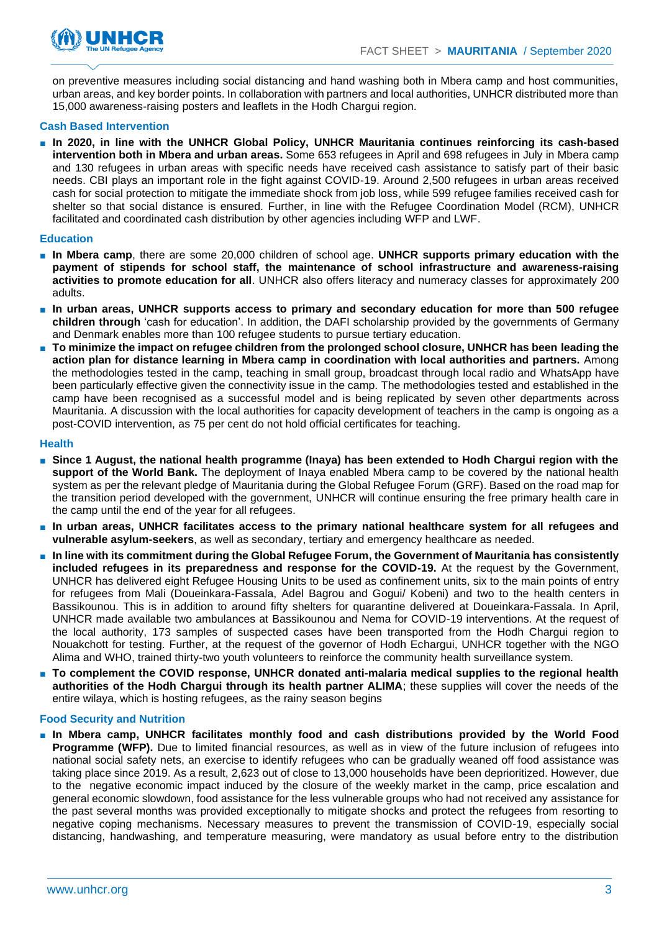

on preventive measures including social distancing and hand washing both in Mbera camp and host communities, urban areas, and key border points. In collaboration with partners and local authorities, UNHCR distributed more than 15,000 awareness-raising posters and leaflets in the Hodh Chargui region.

#### **Cash Based Intervention**

■ **In 2020, in line with the UNHCR Global Policy, UNHCR Mauritania continues reinforcing its cash-based intervention both in Mbera and urban areas.** Some 653 refugees in April and 698 refugees in July in Mbera camp and 130 refugees in urban areas with specific needs have received cash assistance to satisfy part of their basic needs. CBI plays an important role in the fight against COVID-19. Around 2,500 refugees in urban areas received cash for social protection to mitigate the immediate shock from job loss, while 599 refugee families received cash for shelter so that social distance is ensured. Further, in line with the Refugee Coordination Model (RCM), UNHCR facilitated and coordinated cash distribution by other agencies including WFP and LWF.

#### **Education**

- **In Mbera camp**, there are some 20,000 children of school age. **UNHCR supports primary education with the payment of stipends for school staff, the maintenance of school infrastructure and awareness-raising activities to promote education for all**. UNHCR also offers literacy and numeracy classes for approximately 200 adults.
- **In urban areas, UNHCR supports access to primary and secondary education for more than 500 refugee children through** 'cash for education'. In addition, the DAFI scholarship provided by the governments of Germany and Denmark enables more than 100 refugee students to pursue tertiary education.
- **To minimize the impact on refugee children from the prolonged school closure, UNHCR has been leading the action plan for distance learning in Mbera camp in coordination with local authorities and partners.** Among the methodologies tested in the camp, teaching in small group, broadcast through local radio and WhatsApp have been particularly effective given the connectivity issue in the camp. The methodologies tested and established in the camp have been recognised as a successful model and is being replicated by seven other departments across Mauritania. A discussion with the local authorities for capacity development of teachers in the camp is ongoing as a post-COVID intervention, as 75 per cent do not hold official certificates for teaching.

#### **Health**

- Since 1 August, the national health programme (Inaya) has been extended to Hodh Chargui region with the **support of the World Bank.** The deployment of Inaya enabled Mbera camp to be covered by the national health system as per the relevant pledge of Mauritania during the Global Refugee Forum (GRF). Based on the road map for the transition period developed with the government, UNHCR will continue ensuring the free primary health care in the camp until the end of the year for all refugees.
- **In urban areas, UNHCR facilitates access to the primary national healthcare system for all refugees and vulnerable asylum-seekers**, as well as secondary, tertiary and emergency healthcare as needed.
- **In line with its commitment during the Global Refugee Forum, the Government of Mauritania has consistently included refugees in its preparedness and response for the COVID-19.** At the request by the Government, UNHCR has delivered eight Refugee Housing Units to be used as confinement units, six to the main points of entry for refugees from Mali (Doueinkara-Fassala, Adel Bagrou and Gogui/ Kobeni) and two to the health centers in Bassikounou. This is in addition to around fifty shelters for quarantine delivered at Doueinkara-Fassala. In April, UNHCR made available two ambulances at Bassikounou and Nema for COVID-19 interventions. At the request of the local authority, 173 samples of suspected cases have been transported from the Hodh Chargui region to Nouakchott for testing. Further, at the request of the governor of Hodh Echargui, UNHCR together with the NGO Alima and WHO, trained thirty-two youth volunteers to reinforce the community health surveillance system.
- **To complement the COVID response, UNHCR donated anti-malaria medical supplies to the regional health authorities of the Hodh Chargui through its health partner ALIMA**; these supplies will cover the needs of the entire wilaya, which is hosting refugees, as the rainy season begins

#### **Food Security and Nutrition**

■ **In Mbera camp, UNHCR facilitates monthly food and cash distributions provided by the World Food Programme (WFP).** Due to limited financial resources, as well as in view of the future inclusion of refugees into national social safety nets, an exercise to identify refugees who can be gradually weaned off food assistance was taking place since 2019. As a result, 2,623 out of close to 13,000 households have been deprioritized. However, due to the negative economic impact induced by the closure of the weekly market in the camp, price escalation and general economic slowdown, food assistance for the less vulnerable groups who had not received any assistance for the past several months was provided exceptionally to mitigate shocks and protect the refugees from resorting to negative coping mechanisms. Necessary measures to prevent the transmission of COVID-19, especially social distancing, handwashing, and temperature measuring, were mandatory as usual before entry to the distribution